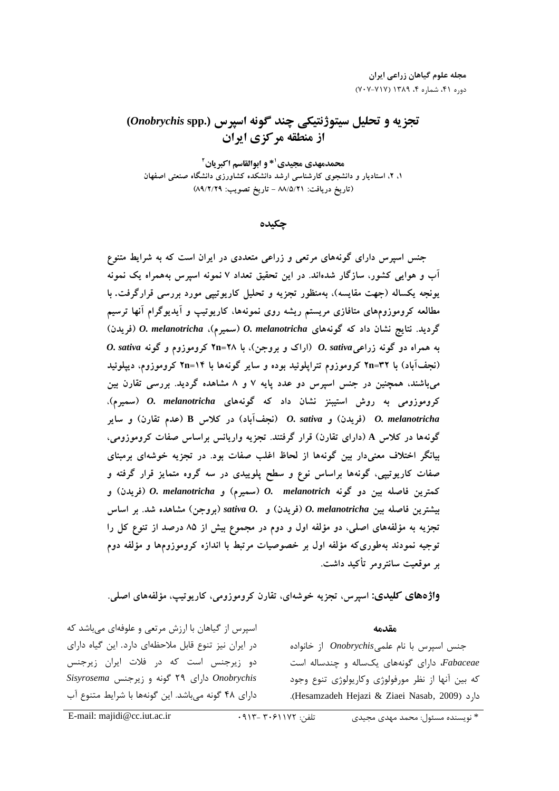# تجزيه و تحليل سيتوژنتيكي چند گونه اسپرس **(.spp** *Onobrychis* **(** از منطقه مركزي ايران

محمدمهدي مجيدي<sup>1 \*</sup> و ابوالقاسم اكبريان<sup>1</sup> ۱، ۲، استادیار و دانشجوی کارشناسی ارشد دانشکده کشاورزی دانشگاه صنعتی اصفهان (تاريخ دريافت: ٨٨/٥/٢١ - تاريخ تصويب: ٨٩/٢/٢٩)

چكيده

جنس آسپرس دارای کونههای مرتعی و زراعی متعددی در ایران است که به شرایط متنوع آب و هوایی کشور، سازگار شدهآند. در این تحقیق تعداد ۷ تمونه اسپرس بههمراه یک تمونه یونجه یکساله (جهت مقایسه)، بهمنظور تجزیه و تحلیل کاریوتیپ*ی مو*رد بررسی قرارگرفت. با مطالعه گرومورومهای منافاری مریستم ریسه روی نمونهها، کاریونیپ و آیدیوگرام آنها ترسیم گردید. نتایج نشان داد که گونههای *O. melanotricha (سمیرم)، O. melanotricha* (فریدن) به همراه دو گونه زراع*ی O. sativa (ارا*ک و بروجن)، با ۲۸=۲**۲** کروموزوم و گونه *O. sativa* (نجف**آباد) با ۳۲=۲**۱ کروموزوم تتراپلوئید بوده و سایر گونهها با ۱۴=۲۱ کروموزوم، دیپلوئید میباشند، همچنین در جنس آسپرس دو عدد پایه ۷ و ۸ مشاهده دردید. بررسی نفارل بین کروموزومی به روش استیبنز نشان داد که گونههای *O. melanotricha* (سمیرم)، ( , @) **<sup>B</sup>** Q (%H2
) *O. sativa* (>) *O. melanotricha* گونهها در کلاس A (دارای تقارن) قرار گرفتند. تجزیه واریانس براساس صفات کروموزومی،<br>-بیانگر اختلاف معنیدار بین گونهها از لخاط اعلب صفات بود. در نجزیه خوشهای برمبنای صفات کاریوییی، کونهها براساس نوع و سطح پلوییدی در سه کروه متمایز فرار کرفته و كمترين فاصله بين دو گونه O. melanotricha (سميرم) و O. melanotricha (فريدن) و  $\mu$  (بروجن) sativa  $O.$  (فريدن) و sativa  $O.$  بيشترين فاصله بين ) $O.$  melanotricha ) نجزیه به مونقههای اصلی، دو مونقه اول و دوم در مجموع بیس از ۸۵ درصد از تنوع کل را نوجيه تمودند به طوري كه مولفه أول بر خصوصيات مرتبط با اندازه گرومورومها و مولفه دوم ير موقعيت سانترومر تأكيد داشت.

**واژههای کلیدی:** اسپرس، تجزیه خوشهای، تقارن کروموزومی، کاریوتیپ، مؤلفههای اصلی.

مقدمه

جنس اسپرس با نام علمی*Onobrychis* از خانواده *Fabaceae*، دارای گونههای یکساله و چندساله است که بین آنها از نظر مورفولوژی وکاریولوژی تنوع وجود .(Hesamzadeh Hejazi & Ziaei Nasab' 2009)

֡֕

اسپرس از گیاهان با ارزش مرتعی و علوفهای میباشد که در ایران نیز تنوع قابل ملاحظهای دارد. این گیاه دارای دو زیرجنس است که در فلات ایران زیرجنس *Sisyrosema* -  => *Onobrychis* دارای ۴۸ گونه میباشد. این گونهها با شرایط متنوع آب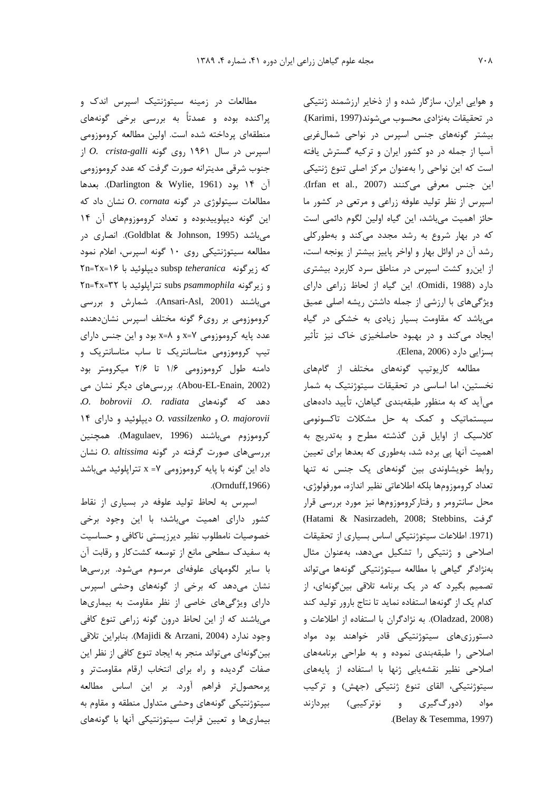و هوایی ایران، سازگار شده و از ذخایر ارزشمند ژنتیکی در تحقيقات بهنژادي محسوب مي شوند(Karimi, 1997). بیشتر گونههای جنس اسپرس در نواحی شمال غربی آسیا از جمله در دو کشور ایران و ترکیه گسترش یافته است که این نواحی را بهعنوان مرکز اصلی تنوع ژنتیکی اين جنس معرفي مي كنند (Irfan et al., 2007). اسپرس از نظر تولید علوفه زراعی و مرتعی در کشور ما حائز اهميت مي باشد، اين گياه اولين لگوم دائمي است که در بهار شروع به رشد مجدد میکند و بهطورکلی رشد آن در اوائل بهار و اواخر پاییز بیشتر از یونجه است، از این رو کشت اسپرس در مناطق سرد کاربرد بیشتری دارد (Omidi, 1988). این گیاه از لحاظ زراعی دارای ویژگیهای با ارزشی از جمله داشتن ریشه اصلی عمیق میباشد که مقاومت بسیار زیادی به خشکی در گیاه ایجاد میکند و در بهبود حاصلخیزی خاک نیز تأثیر بسزايي دارد (Elena, 2006).

مطالعه کاریوتیپ گونههای مختلف از گامهای نخستین، اما اساسی در تحقیقات سیتوژنتیک به شمار می آید که به منظور طبقهبندی گیاهان، تأیید دادههای سیستماتیک و کمک به حل مشکلات تاکسونومی كلاسيك از اوايل قرن گذشته مطرح و بهتدريج به اهمیت آنها پی برده شد، بهطوری که بعدها برای تعیین روابط خویشاوندی بین گونههای یک جنس نه تنها تعداد كروموزومها بلكه اطلاعاتي نظير اندازه، مورفولوژي، محل سانترومر و رفتارکروموزومها نیز مورد بررسی قرار (Hatami & Nasirzadeh, 2008; Stebbins, حَ فت (1971. اطلاعات سيتوژنتيكي اساس بسياري از تحقيقات اصلاحی و ژنتیکی را تشکیل می دهد، بهعنوان مثال بەنژادگر گیاهی با مطالعه سیتوژنتیکی گونهها میتواند تصمیم بگیرد که در یک برنامه تلاقی بینگونهای، از كدام یک از گونهها استفاده نماید تا نتاج بارور تولید كند (Oladzad, 2008). به نژادگران با استفاده از اطلاعات و دستورزیهای سیتوژنتیکی قادر خواهند بود مواد اصلاحی را طبقهبندی نموده و به طراحی برنامههای اصلاحی نظیر نقشهیابی ژنها با استفاده از پایههای سیتوژنتیکی، القای تنوع ژنتیکی (جهش) و ترکیب (دورگ $\mathcal{E}_{\mathrm{m}}$ یری و نوترکیبی) بپردازند مواد .(Belay & Tesemma, 1997).

مطالعات در زمینه سیتوژنتیک اسپرس اندک و پراکنده بوده و عمدتاً به بررسی برخی گونههای منطقهای پرداخته شده است. اولین مطالعه کروموزومی ار اسپرس در سال ۱۹۶۱ روی گونه O. crista-galli از جنوب شرقي مديترانه صورت گرفت كه عدد كروموزومي آن ۱۴ بود (Darlington & Wylie, 1961). بعدها مطالعات سیتولوژی در گونه O. cornata نشان داد که این گونه دیپلوییدبوده و تعداد کروموزومهای آن ۱۴ میباشد (Goldblat & Johnson, 1995). انصاری در مطالعه سیتوژنتیکی روی ۱۰ گونه اسپرس، اعلام نمود که زیرگونه subsp teheranica دیپلوئید با ۲۶=۲۲=۲ Fn=۴x=۳۲ ترایلوئید با ۲۳=۴x=۳۲ میباشند (Ansari-Asl, 2001). شمارش و بررسی کروموزومی بر روی۶ گونه مختلف اسپرس نشاندهنده عدد پایه کروموزومی x=۷ و x=۸ بود و این جنس دارای تیپ کروموزومی متاسانتریک تا ساب متاسانتریک و دامنه طول کروموزومی ۱/۶ تا ۲/۶ میکرومتر بود (Abou-EL-Enain, 2002). بررسی های دیگر نشان می .0. bobrovii .0. radiata دهد که گونههای .0. 1۴ دیپلوئید و دارای 0. vassilzenko و 0. vassilzenko كروموزوم مىباشند (Magulaev, 1996). همچنين بررسیهای صورت گرفته در گونه O. altissima نشان داد این گونه با پایه کروموزومی x = ٧ تتراپلوئید میباشد .(Ornduff, 1966)

اسپرس به لحاظ تولید علوفه در بسیاری از نقاط کشور دارای اهمیت میباشد؛ با این وجود برخی خصوصیات نامطلوب نظیر دیرزیستی ناکافی و حساسیت به سفیدک سطحی مانع از توسعه کشتکار و رقابت آن با سایر لگومهای علوفهای مرسوم میشود. بررسیها نشان میدهد که برخی از گونههای وحشی اسپرس دارای ویژگیهای خاصی از نظر مقاومت به بیماریها میباشند که از این لحاظ درون گونه زراعی تنوع کافی وجود ندارد (Majidi & Arzani, 2004). بنابراين تلاقى بین گونهای میتواند منجر به ایجاد تنوع کافی از نظر این صفات گردیده و راه برای انتخاب ارقام مقاومتتر و پرمحصولتر فراهم آورد. بر این اساس مطالعه سیتوژنتیکی گونههای وحشی متداول منطقه و مقاوم به بیماریها و تعیین قرابت سیتوژنتیکی آنها با گونههای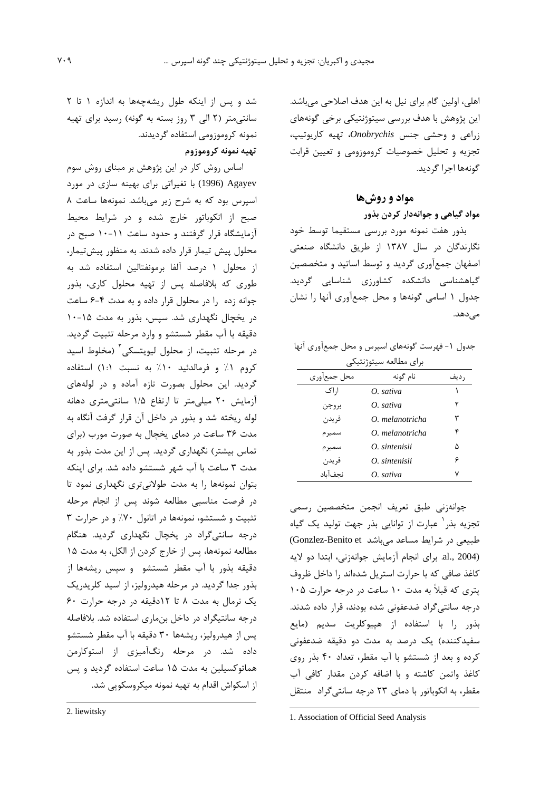اهلي، اولين گام براي نيل به اين هدف اصلاحي مي باشد. این پژوهش با هدف بررسی سیتوژنتیکی برخی گونههای  $\omega$ زراعی و وحشی جنس Onobrychis. تهیه کاریوتیپ تجزیه و تحلیل خصوصیات کروموزومی و تعیین قرابت گونهها اجرا گرديد.

### مواد و روشها

### مواد گیاهی و جوانهدار کردن بذور

بذور هفت نمونه مورد بررسى مستقيما توسط خود نگارندگان در سال ۱۳۸۷ از طریق دانشگاه صنعتی اصفهان جمعآوری گردید و توسط اساتید و متخصصین گیاهشناسی دانشکده کشاورزی شناسایی گردید. جدول ١ اسامي گونهها و محل جمع آوري آنها را نشان مے ٖدھد.

جدول ١- فهرست گونههای اسپرس و محل جمعآوری آنها برای مطالعه سیتوژنتیکی

| محل جمعأورى | نام گونه        | , دیف |
|-------------|-----------------|-------|
| ا,اک        | O. sativa       |       |
| بروجن       | $O.$ sativa     | ۲     |
| فريدن       | O. melanotricha | ٣     |
| سمير م      | O. melanotricha | ۴     |
| سميرم       | O. sintenisii   | ۵     |
| فريدن       | O. sintenisii   | ۶     |
| نجفآباد     | O. sativa       |       |
|             |                 |       |

جوانەزنى طبق تعريف انجمن متخصصين رسمى تجزیه بذر ٰ عبارت از توانایی بذر جهت تولید یک گیاه طبیعی در شرایط مساعد می باشد Gonzlez-Benito et) al., 2004). براى انجام آزمايش جوانهزني، ابتدا دو لايه كاغذ صافى كه با حرارت استريل شدهاند را داخل ظروف یتری که قبلاً به مدت ۱۰ ساعت در درجه حرارت ۱۰۵ درجه سانتی گراد ضدعفونی شده بودند، قرار داده شدند. بذور را با استفاده از هییوکلریت سدیم (مایع سفيدكننده) يک درصد به مدت دو دقيقه ضدعفوني کرده و بعد از شستشو با آب مقطر، تعداد ۴۰ بذر روی كاغذ واتمن كاشته و با اضافه كردن مقدار كافي آب مقطر، به انکوباتور با دمای ۲۳ درجه سانتیگراد منتقل

1. Association of Official Seed Analysis

شد و پس از اینکه طول ریشه جهها به اندازه ١ تا ٢ سانتی متر (۲ الی ۳ روز بسته به گونه) رسید برای تهیه نمونه كروموزومي استفاده گرديدند.

### تهيه نمونه كروموزوم

اساس روش کار در این پژوهش بر مبنای روش سوم Agayev (1996) با تغیراتی برای بهینه سازی در مورد اسیرس بود که به شرح زیر می باشد. نمونهها ساعت ۸ صبح از انکوباتور خارج شده و در شرایط محیط آزمایشگاه قرار گرفتند و حدود ساعت ۱۱-۱۰ صبح در محلول پیش تیمار قرار داده شدند. به منظور پیشتیمار، از محلول ۱ درصد آلفا برمونفتالین استفاده شد به طوری که بلافاصله پس از تهیه محلول کاری، بذور جوانه زده را در محلول قرار داده و به مدت ۴-۶ ساعت در یخچال نگهداری شد. سیس، بذور به مدت ۱۵-۱۰ دقیقه با آب مقطر شستشو و وارد مرحله تثبیت گردید. در مرحله تثبیت، از محلول لیویتسکی<sup>۲</sup> (مخلوط اسید كروم ١٪ و فرمالدئيد ١٠٪ به نسبت ١:١) استفاده گردید. این محلول بصورت تازه آماده و در لولههای آزمایش ۲۰ میلی متر تا ارتفاع ۱/۵ سانتی متری دهانه لوله ريخته شد و بذور در داخل آن قرار گرفت آنگاه به مدت ۳۶ ساعت در دمای یخچال به صورت مورب (برای تماس بیشتر) نگهداری گردید. پس از این مدت بذور به مدت ٣ ساعت با آب شهر شستشو داده شد. برای اینکه بتوان نمونهها را به مدت طولانیتری نگهداری نمود تا در فرصت مناسبی مطالعه شوند پس از انجام مرحله تثبیت و شستشو، نمونهها در اتانول ۷۰٪ و در حرارت ۳ درجه سانتیگراد در یخچال نگهداری گردید. هنگام مطالعه نمونهها، پس از خارج کردن از الکل، به مدت ۱۵ دقیقه بذور با آب مقطر شستشو و سیس ریشهها از بذور جدا گردید. در مرحله هیدرولیز، از اسید کلریدریک یک نرمال به مدت ۸ تا ۱۲دقیقه در درجه حرارت ۶۰ درجه سانتیگراد در داخل بنماری استفاده شد. بلافاصله یس از هیدرولیز، ریشهها ۳۰ دقیقه با آب مقطر شستشو داده شد. در مرحله رنگآمیزی از استوکارمن هماتوکسیلین به مدت ۱۵ ساعت استفاده گردید و پس از اسکواش اقدام به تهیه نمونه میکروسکویی شد.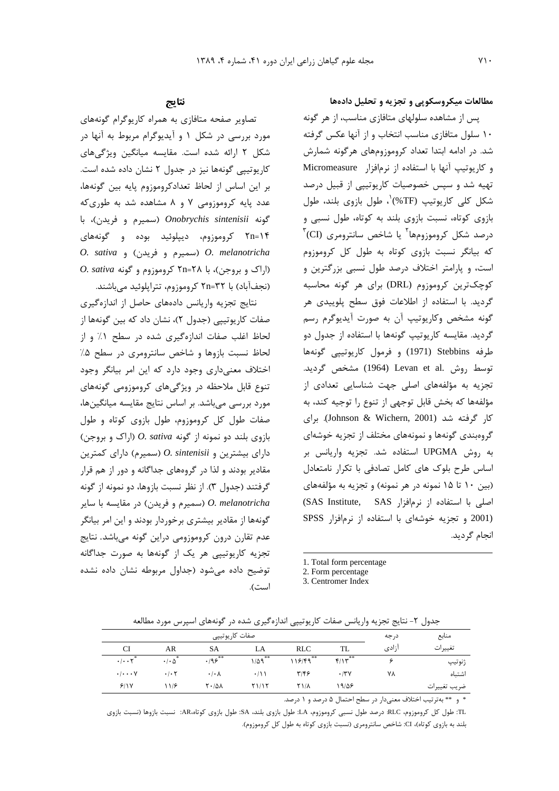مطالعات میکروسکوپی و تجزیه و تحلیل دادهها

پس از مشاهده سلولهای متافازی مناسب، از هر گونه ١٠ سلول متافازى مناسب انتخاب و از آنها عكس كرفته شد. در ادامه ابتدا تعداد کروموزومهای هرگونه شمارش و كاريوتيپ آنها با استفاده از نرمافزار Micromeasure تهیه شد و سپس خصوصیات کاریوتیپی از قبیل درصد شکل کلی کاریوتیپ (TF%<sup>)'</sup>، طول بازوی بلند، طول بازوی کوتاه، نسبت بازوی بلند به کوتاه، طول نسبی و  $\mathrm{^{^\intercal}}(CI)$  درصد شکل کروموزومها $\mathrm{^{^\intercal}}$ یا شاخص سانترومری که بیانگر نسبت بازوی کوتاه به طول کل کروموزوم است، و پارامتر اختلاف درصد طول نسبی بزرگترین و کوچکترین کروموزوم (DRL) برای هر گونه محاسبه گردید. با استفاده از اطلاعات فوق سطح پلوییدی هر گونه مشخص وكاريوتيپ آن به صورت آيديوگرم رسم گرديد. مقايسه كارپوتيپ گونهها با استفاده از جدول دو طرفه Stebbins (1971) وفرمول كاريوتيپي گونهها توسط روش .Levan et al (1964) مشخص گردید. تجزیه به مؤلفههای اصلی جهت شناسایی تعدادی از مؤلفهها كه بخش قابل توجهي از تنوع را توجيه كند، به کار گرفته شد (Johnson & Wichern, 2001). برای گروهبندی گونهها و نمونههای مختلف از تجزیه خوشهای به روش UPGMA استفاده شد. تجزيه واريانس بر اساس طرح بلوک های کامل تصادفی با تکرار نامتعادل (بین ١٠ تا ١۵ نمونه در هر نمونه) و تجزیه به مؤلفههای اصلی با استفاده از نرمافزار SAS Institute, SAS) (2001 و تجزيه خوشهاى با استفاده از نرمافزار SPSS انجام گردید.

- 1. Total form percentage
- 2. Form percentage

3. Centromer Index

نتايج

تصاویر صفحه متافازی به همراه کاریوگرام گونههای مورد بررسی در شکل ۱ و آیدیوگرام مربوط به آنها در شکل ۲ ارائه شده است. مقایسه میانگین ویژگیهای کارپوتییے گونهها نیز در جدول ۲ نشان داده شده است. بر این اساس از لحاظ تعدادکروموزوم پایه بین گونهها، عدد پایه کروموزومی ۷ و ۸ مشاهده شد به طوری که گونه Onobrychis sintenisii (سميرم و فريدن)، با ۲۵=۲۱ کروموزوم، دیپلوئید بوده و گونههای O. sativa (سميرم و فريدن) و O. sativa  $O.$  sativa (اراک و بروجن)، با ۲۸=۲۸ کروموزوم و گونه (نجفآباد) با ۲۲=۲۵ کروموزوم، تترایلوئید می باشند.

نتایج تجزیه واریانس دادههای حاصل از اندازهگیری صفات کاریوتیپی (جدول ۲)، نشان داد که بین گونهها از لحاظ اغلب صفات اندازهگیری شده در سطح ۱٪ و از لحاظ نسبت بازوها و شاخص سانترومری در سطح ۵٪ اختلاف معنى دارى وجود دارد كه اين امر بيانكر وجود تنوع قابل ملاحظه در ویژگیهای کروموزومی گونههای مورد بررسی میباشد. بر اساس نتایج مقایسه میانگینها، صفات طول کل کروموزوم، طول بازوی کوتاه و طول  $($ بازوی بلند دو نمونه از گونه O. sativa (اراک و بروجن)  $o.$  sintenisii (اسمیرم) دارای کمترین مقادیر بودند و لذا در گروههای جداگانه و دور از هم قرار گرفتند (جدول ۳). از نظر نسبت بازوها، دو نمونه از گونه O. melanotricha (سمیرم و فریدن) در مقایسه با سایر گونهها از مقادیر بیشتری برخوردار بودند و این امر بیانگر عدم تقارن درون کروموزومی دراین گونه میباشد. نتایج تجزیه کاریوتیپی هر یک از گونهها به صورت جداگانه توضیح داده می شود (جداول مربوطه نشان داده نشده است).

جدول ۲- نتایج تجزیه واریانس صفات کارپوتیپی اندازهگیری شده در گونههای اسپرس مورد مطالعه

|                                    |                                 | صفات كاريوتيپي             |            |               |           | درجه  | منابع        |
|------------------------------------|---------------------------------|----------------------------|------------|---------------|-----------|-------|--------------|
| CI                                 | AR                              | <b>SA</b>                  | LA         | <b>RLC</b>    | TL        | آزادی | تغييرات      |
| .1.7                               | *<br>$\cdot$ / $\cdot$ $\Delta$ | $.195***$                  | **<br>۱/۵۹ | **<br>118/49  | **<br>f/Y |       | ژنوتيپ       |
| $\cdot$ / $\cdot\cdot\cdot$ $\vee$ | $\cdot$ / $\cdot$ $\cdot$       | $\cdot$ / $\cdot$ $\wedge$ | $\cdot/11$ | ۳۱۴۶          | .74       | ٧٨    | اشتىاه       |
| 9/1V                               | 11/8                            | $Y \cdot \Delta \Lambda$   | Y1/1Y      | $Y$ $\lambda$ | ۱۹/۵۶     |       | ضريب تغييرات |

\* و \*\* بهترتیب اختلاف معنیدار در سطح احتمال ۵ درصد و ۱ درصد.

TL: طول کل کروموزوم، RLC: درصد طول نسبی کروموزوم، LA: طول بازوی بلند، SA: طول بازوی کوتاه،AR: نسبت بازوها (نسبت بازوی بلند به بازوی کوتاه)، CI: شاخص سانترومری (نسبت بازوی کوتاه به طول کل کروموزوم).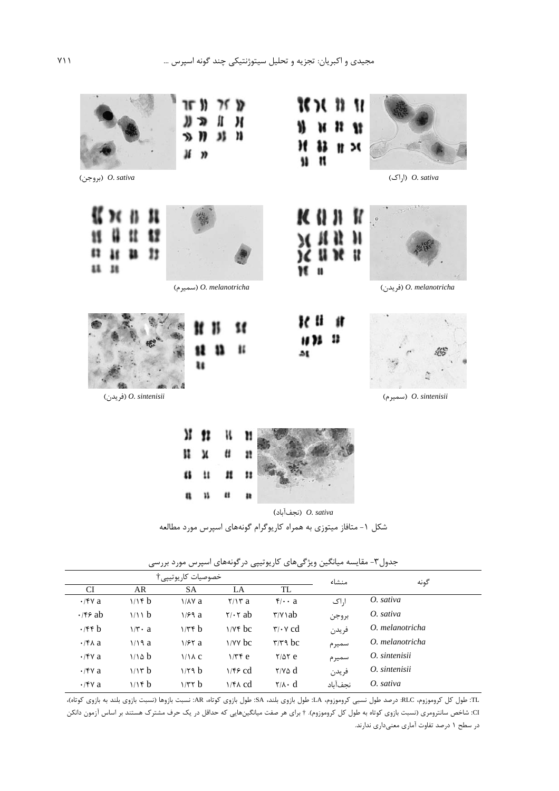

(نجف آباد) O. sativa

شکل ۱- متافاز میتوزی به همراه کاریوگرام گونههای اسپرس مورد مطالعه

|                       | خصوصيات كاريوتيپي†              |                    |                            |                                        |         | گونه            |
|-----------------------|---------------------------------|--------------------|----------------------------|----------------------------------------|---------|-----------------|
| <b>CI</b>             | AR                              | <b>SA</b>          | LA                         | TL                                     | منشاء   |                 |
| $\cdot$ /۴۷ a         | 1/16                            | $1/\lambda$ a      | $\mathbf{Y}/\mathbf{Y}$ a  | $\mathfrak{f}/\cdot\cdot\mathfrak{a}$  | اراک    | O. sativa       |
| $\cdot$ /۴۶ ab        | 1/1 b                           | 1/99a              | $\mathbf{Y}/\mathbf{Y}$ ab | $\forall y \in a$                      | بروجن   | O. sativa       |
| $\cdot$ /۴۴ b         | $1/\mathbf{r} \cdot \mathbf{a}$ | $1/\tau f$ b       | $1/Yf$ bc                  | $\mathbf{r}/\mathbf{v}$ cd             | فريدن   | O. melanotricha |
| $\cdot$ /۴ $\wedge$ a | 1/19a                           | 1/57a              | $\frac{1}{\sqrt{2}}$       | $\mathbf{r}/\mathbf{r}$ bc             | سميرم   | O. melanotricha |
| $\cdot$ /۴۷ a         | 1/10 b                          | $1/\lambda c$      | $1/\tau f$ e               | $Y/\Delta Y$ e                         | سميرم   | O. sintenisii   |
| $\cdot$ /۴۷ a         | 1/17 b                          | 1/79 b             | $1/F$ cd                   | $\gamma$ and $\gamma$                  | فريدن   | O. sintenisii   |
| $\cdot$ /۴۷ a         | 1/16                            | 1/T <sub>Y</sub> b | $1/FA$ $cd$                | $\mathsf{Y}/\mathsf{A}\cdot\mathsf{d}$ | نحفآناد | O. sativa       |

جدول۳- مقایسه میانگین ویژگیهای کاریوتیپی درگونههای اسپرس مورد بررسی

.TL: طول كل كروموزوم، RLC: درصد طول نسبي كروموزوم، LA: طول بازوي بلند، SA: طول بازوي كوتاه، AR: نسبت بازوها (نسبت بازوي بلند به بازوي كوتاه)، CI: شاخص سانترومری (نسبت بازوی کوتاه به طول کل کروموزوم). † برای هر صفت میانگینهایی که حداقل در یک حرف مشترک هستند بر اساس آزمون دانکن در سطح ۱ درصد تفاوت آماری معنیداری ندارند.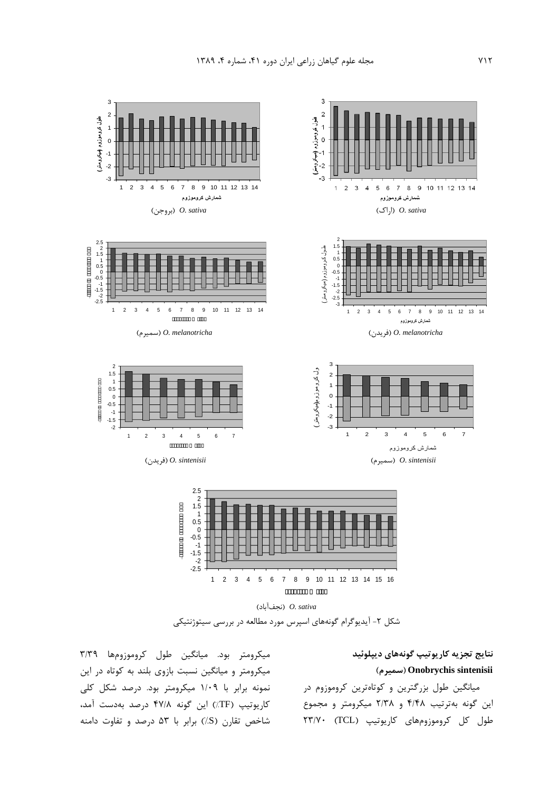



میکرومتر بود. میانگین طول کروموزومها ۳/۳۹ میکرومتر و میانگین نسبت بازوی بلند به کوتاه در این نمونه برابر با ۱/۰۹ میکرومتر بود. درصد شکل کلی کاریوتیپ (TF٪) این گونه ۴۷/۸ درصد بهدست آمد، شاخص تقارن (S/) برابر با ۵۳ درصد و تفاوت دامنه

### نتايج تجزيه كاريوتيپ گونههاي ديپلوئيد () **Onobrychis sintenisii**

میانگین طول بزرگترین و کوتاهترین کروموزوم در این گونه بهترتیب ۴/۴۸ و ۲/۳۸ میکرومتر و مجموع طول كل كروموزومهاى كاريوتيپ (TCL) ٢٣/٧٠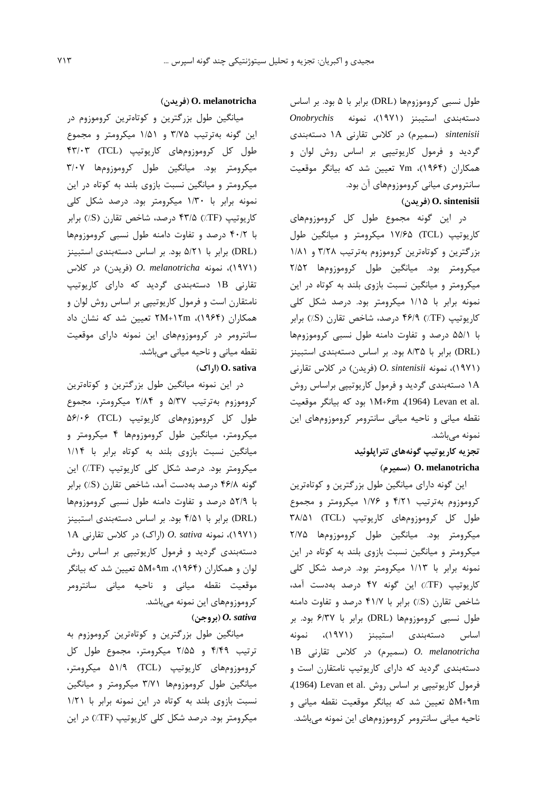طول نسبی کروموزومها (DRL) برابر با ۵ بود. بر اساس دستهبندی استیبنز (۱۹۷۱)، نمونه Onobrychis sintenisii (سمیرم) در کلاس تقارنی ۱A دستهبندی گردید و فرمول کاریوتیپی بر اساس روش لوان و همکاران (۱۹۶۴)، ۷m تعیین شد که بیانگر موقعیت سانترومری میانی کروموزومهای آن بود. (فريدن) O. sintenisii

در این گونه مجموع طول کل کروموزومهای کاریوتیپ (TCL) ۱۷/۶۵ میکرومتر و میانگین طول بزرگترین و کوتاهترین کروموزوم بهترتیب ۳/۲۸ و ۱/۸۱ میکرومتر بود. میانگین طول کروموزومها ۲/۵۲ میکرومتر و میانگین نسبت بازوی بلند به کوتاه در این نمونه برابر با ۱/۱۵ میکرومتر بود. درصد شکل کلی کارپوتیپ (TF٪) ۴۶/۹ درصد، شاخص تقارن (S٪) برابر با ۵۵/۱ درصد و تفاوت دامنه طول نسبی کروموزومها (DRL) برابر با ۸/۳۵ بود. بر اساس دستهبندی استبینز (١٩٧١)، نمونه O. sintenisii (فريدن) در كلاس تقارني ۱A دستهبندی گردید و فرمول کاریوتیپی براساس روش .M+۶m .(1964) Levan et al بود که بیانگر موقعیت نقطه میانی و ناحیه میانی سانترومر کروموزومهای این نمونه مىباشد.

## تجزیه کاریوتیپ گونههای تتراپلوئید (سميرم) O. melanotricha

این گونه دارای میانگین طول بزرگترین و کوتاهترین کروموزوم بهترتیب ۴/۲۱ و ۱/۷۶ میکرومتر و مجموع طول کل کروموزومهای کاریوتیپ (TCL) ۳۸/۵۱ میکرومتر بود. میانگین طول کروموزومها ۲/۷۵ میکرومتر و میانگین نسبت بازوی بلند به کوتاه در این نمونه برابر با ۱/۱۳ میکرومتر بود. درصد شکل کلی كاريوتيپ (TF٪) اين گونه ۴۷ درصد بهدست آمد، شاخص تقارن (S) برابر با ۴۱/۷ درصد و تفاوت دامنه طول نسبی کروموزومها (DRL) برابر با ۶/۳۷ بود. بر اساس دستهبندی استیبنز (۱۹۷۱)، نمونه )B (سمیرم) در کلاس تقارنی) در MB (سمیرم) در دستهبندی گردید که دارای کاریوتیپ نامتقارن است و فرمول كاريوتيپي بر اساس روش .Levan et al (1964)، ۵M+۹m تعیین شد که بیانگر موقعیت نقطه میانی و ناحیه میانی سانترومر کروموزومهای این نمونه میباشد.

#### (فريدن) O. melanotricha

میانگین طول بزرگترین و کوتاهترین کروموزوم در این گونه بهترتیب ۳/۷۵ و ۱/۵۱ میکرومتر و مجموع طول کل کروموزومهای کاریوتیپ (TCL) ۴۳/۰۳ میکرومتر بود. میانگین طول کروموزومها ۳/۰۷ میکرومتر و میانگین نسبت بازوی بلند به کوتاه در این نمونه برابر با ۱/۳۰ میکرومتر بود. درصد شکل کلی كاريوتيپ (TF٪) ۴۳/۵٪ درصد، شاخص تقارن (S٪) برابر با ۴۰/۲ درصد و تفاوت دامنه طول نسبی کروموزومها (DRL) برابر با ۵/۲۱ بود. بر اساس دستهبندی استبینز (۱۹۷۱)، نمونه O. melanotricha (فریدن) در کلاس تقارنی IB دستهبندی گردید که دارای کاریوتیپ نامتقارن است و فرمول کاریوتیپی بر اساس روش لوان و همکاران (۱۹۶۴)، ۲M+۱۲m تعیین شد که نشان داد سانترومر در کروموزومهای این نمونه دارای موقعیت نقطه میانی و ناحیه میانی میباشد.

### $(|\zeta|)$  (اراک)

در این نمونه میانگین طول بزرگترین و کوتاهترین کروموزوم بهترتیب ۵/۳۷ و ۲/۸۴ میکرومتر، مجموع طول کل کروموزومهای کاریوتیپ (TCL) ۵۶/۰۶ میکرومتر، میانگین طول کروموزومها ۴ میکرومتر و میانگین نسبت بازوی بلند به کوتاه برابر با ۱/۱۴ میکرومتر بود. درصد شکل کلی کاریوتیپ (TF٪) این گونه ۴۶/۸ درصد بهدست آمد، شاخص تقارن (S٪) برابر با ۵۲/۹ درصد و تفاوت دامنه طول نسبی کروموزومها (DRL) برابر با ۴/۵۱ بود. بر اساس دستهبندی استبینز (۱۹۷۱)، نمونه O. sativa (اراک) در کلاس تقارنی ۱A دستهبندی گردید و فرمول کاریوتییی بر اساس روش لوان و همكاران (۱۹۶۴)، M+۹m تعيين شد كه بيانگر موقعیت نقطه میانی و ناحیه میانی سانترومر کروموزومهای این نمونه میباشد.  $O. sativa$  (بروجن)

میانگین طول بزرگترین و کوتاهترین کروموزوم به ترتیب ۴/۴۹ و ۲/۵۵ میکرومتر، مجموع طول کل کروموزومهای کاریوتیپ (TCL) ۵۱/۹ میکرومتر، میانگین طول کروموزومها ۳/۷۱ میکرومتر و میانگین نسبت بازوى بلند به كوتاه در اين نمونه برابر با ١/٢١ میکرومتر بود. درصد شکل کلی کاریوتیپ (TF٪) در این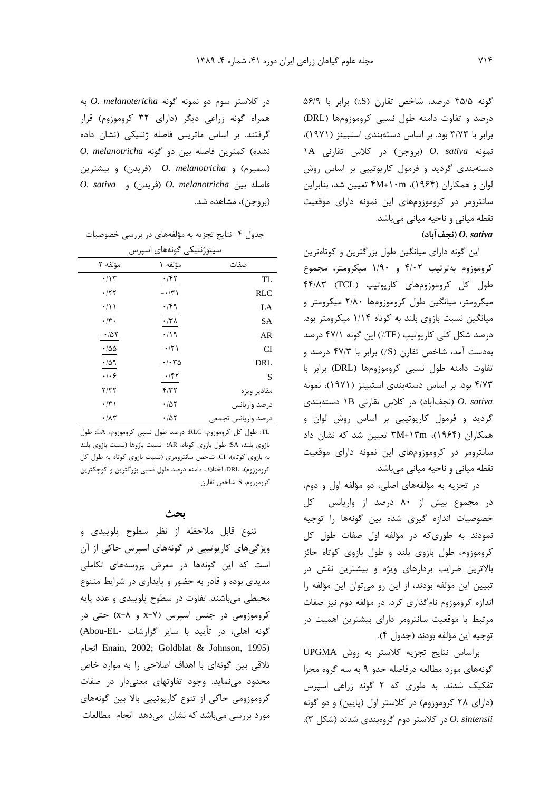گونه ۴۵/۵ درصد، شاخص تقارن (S) برابر با ۵۶/۹ درصد و تفاوت دامنه طول نسبی کروموزومها (DRL) برابر با ۳/۷۳ بود. بر اساس دستهبندی استبینز (۱۹۷۱)، 1A (بروجن) در كلاس تقارنى (A ) (1A (بروجن) دستهبندی گردید و فرمول کاریوتیپی بر اساس روش لوان و همكاران (۱۹۶۴)، ۴M+۱۰m تعيين شد، بنابراين سانترومر در کروموزومهای این نمونه دارای موقعیت نقطه میانی و ناحیه میانی میباشد. (نحفآباد)  $\emph{0. sativa}$ 

این گونه دارای میانگین طول بزرگترین و کوتاهترین کروموزوم بهترتیب ۴/۰۲ و ۱/۹۰ میکرومتر، مجموع طول کل کروموزومهای کاریوتیپ (TCL) ۴۴/۸۳ میکرومتر، میانگین طول کروموزومها ۲/۸۰ میکرومتر و میانگین نسبت بازوی بلند به کوتاه ۱/۱۴ میکرومتر بود. درصد شکل کلی کاریوتیپ (TF٪) این گونه ۴۷/۱ درصد بهدست آمد، شاخص تقارن (S٪) برابر با ۴۷/۳ درصد و تفاوت دامنه طول نسبي كروموزومها (DRL) برابر با ۴/۷۳ بود. بر اساس دستهبندی استبینز (۱۹۷۱)، نمونه نجفآباد) در کلاس تقارنی ١B دستهبندی (در کلاس تقارنی) (در گردید و فرمول کاریوتیپی بر اساس روش لوان و همکاران (۱۹۶۴)، ۳M+۱۳m تعیین شد که نشان داد سانترومر در کروموزومهای این نمونه دارای موقعیت نقطه میانی و ناحیه میانی میباشد.

در تجزیه به مؤلفههای اصلی، دو مؤلفه اول و دوم، در مجموع بیش از ۸۰ درصد از واریانس کل خصوصیات اندازه گیری شده بین گونهها را توجیه نمودند به طوری که در مؤلفه اول صفات طول کل کروموزوم، طول بازوی بلند و طول بازوی کوتاه حائز بالاترین ضرایب بردارهای ویژه و بیشترین نقش در تبیین این مؤلفه بودند، از این رو میتوان این مؤلفه را اندازه کروموزوم نامگذاری کرد. در مؤلفه دوم نیز صفات مرتبط با موقعیت سانترومر دارای بیشترین اهمیت در توجيه اين مؤلفه بودند (جدول ۴).

براساس نتايج تجزيه كلاستر به روش UPGMA گونههای مورد مطالعه درفاصله حدو ۹ به سه گروه مجزا تفکیک شدند. به طوری که ۲ گونه زراعی اسپرس (دارای ۲۸ کروموزوم) در کلاستر اول (پایین) و دو گونه O. sintensii در کلاستر دوم گروهبندی شدند (شکل ۳).

 $O.$  melanotericha در کلاستر سوم دو نمونه گونه همراه گونه زراعی دیگر (دارای ۳۲ کروموزوم) قرار گرفتند. بر اساس ماتریس فاصله ژنتیکی (نشان داده 0. melanotricha بين دو گونه O. melanotricha (سمیرم) و O. melanotricha (فریدن) و بیشترین  $O.$  sativa (فريدن) و O. melanotricha (فريدن) و (بروجن)، مشاهده شد.

|                             | سيتوژنتيكي گونههاي اسپرس            |                    |             |
|-----------------------------|-------------------------------------|--------------------|-------------|
| مؤلفه ۲                     | مؤلفه ۱                             | صفات               |             |
| $\cdot/\gamma$              | ۰/۴۲                                |                    | TL          |
| ۰/۲۲                        | $- \cdot / \tilde{r}$               |                    | <b>RLC</b>  |
| $\cdot/ \wedge$             | ۰/۴۹                                |                    | LA          |
| $\cdot$ /۳ $\cdot$          | $\cdot$ /۳۸                         |                    | SА          |
| $- \cdot / \Delta \Upsilon$ | $\cdot$ /19                         |                    | AR          |
| $\cdot$ 100                 | $- \cdot 7$                         |                    | CI          |
| $\cdot$ /59                 | $- \cdot / \cdot \mathsf{Y} \Delta$ |                    | DRL         |
| $\cdot$ / $\cdot$ 6         | $- \cdot / \mathfrak{k}$ ٢          |                    | S           |
| 7/77                        | f/T                                 |                    | مقادير ويژه |
| $\cdot$ /۳)                 | $\cdot$ /57                         | درصد واريانس       |             |
| $\cdot/\lambda\tau$         | $\cdot$ /57                         | درصد واريانس تجمعي |             |

جدول ۴- نتایج تجزیه به مؤلفههای در بررسی خصوصیات

.TL: طول كل كروموزوم، RLC: درصد طول نسبي كروموزوم، LA: طول بازوى بلند، SA: طول بازوى كوتاه، AR: نسبت بازوها (نسبت بازوى بلند به بازوی کوتاه)، CI: شاخص سانترومری (نسبت بازوی کوتاه به طول کل کروموزوم)، DRL: اختلاف دامنه درصد طول نسبی بزرگترین و کوچکترین كروموزوم، S: شاخص تقارن.

### بحث

تنوع قابل ملاحظه از نظر سطوح پلوییدی و ویژگیهای کاریوتیپی در گونههای اسپرس حاکی از آن است که این گونهها در معرض پروسههای تکاملی مدیدی بوده و قادر به حضور و پایداری در شرایط متنوع محیطی میباشند. تفاوت در سطوح پلوییدی و عدد پایه کروموزومی در جنس اسپرس (x=Y و x=Y) حتی در گونه اهلی، در تأیید با سایر گزارشات -Abou-EL) Enain, 2002; Goldblat & Johnson, 1995) تلاقی بین گونهای با اهداف اصلاحی را به موارد خاص محدود مینماید. وجود تفاوتهای معنیدار در صفات کروموزومی حاکی از تنوع کارپوتییی بالا بین گونههای مورد بررسی میباشد که نشان میدهد انجام مطالعات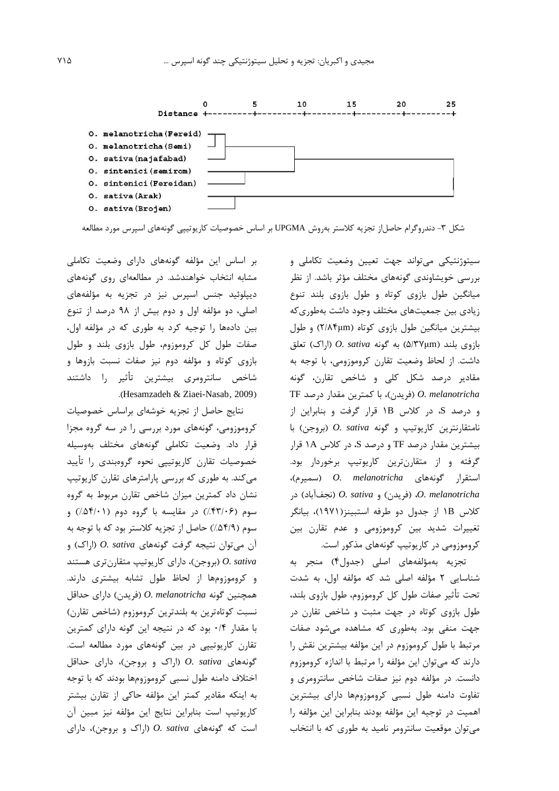

شکل ۳- دندروگرام حاصل|ز تجزیه کلاستر بهروش UPGMA بر اساس خصوصیات کاریوتیپی گونههای اسپرس مورد مطالعه

سیتوژنتیکی میتواند جهت تعیین وضعیت تکاملی و بررسی خویشاوندی گونههای مختلف مؤثر باشد. از نظر میانگین طول بازوی کوتاه و طول بازوی بلند تنوع زیادی بین جمعیتهای مختلف وجود داشت بهطوری که بیشترین میانگین طول بازوی کوتاه (۲/۸۴μm) و طول  $O. sativa$  بازوي بلند (۵/۳۷μm) به گونه  $O. sativa$  (اراک) تعلق داشت. از لحاظ وضعیت تقارن کروموزومی، با توجه به مقادیر درصد شکل کلی و شاخص تقارن، گونه TF (فریدن)، با کمترین مقدار درصد) O. melanotricha و درصد S، در کلاس 1B قرار گرفت و بنابراین از  $O.$  sativa فامتقارنترین کاریوتیپ و گونه  $O.$  (بروجن) با بیشترین مقدار درصد TF و درصد S، در کلاس ۱A قرار گرفته و از متقارنترین کاریوتیپ برخوردار بود. استقرار گونههای O. melanotricha (سمیرم)، O. melanotricha (فريدن) و O. sativa (نجف آباد) در كلاس IB از جدول دو طرفه استبينز(١٩٧١)، بيانگر تغییرات شدید بین کروموزومی و عدم تقارن بین کروموزومی در کارپوتیپ گونههای مذکور است.

تجزيه بهمؤلفههاى اصلى (جدول۴) منجر به شناسایی ۲ مؤلفه اصلی شد که مؤلفه اول، به شدت تحت تأثير صفات طول كل كروموزوم، طول بازوي بلند، طول بازوی کوتاه در جهت مثبت و شاخص تقارن در جهت منفی بود. بهطوری که مشاهده می شود صفات مرتبط با طول کروموزوم در این مؤلفه بیشترین نقش را دارند که میتوان این مؤلفه را مرتبط با اندازه کروموزوم دانست. در مؤلفه دوم نیز صفات شاخص سانترومری و تفاوت دامنه طول نسبى كروموزومها داراى بيشترين اهمیت در توجیه این مؤلفه بودند بنابراین این مؤلفه را می توان موقعیت سانترومر نامید به طوری که با انتخاب

بر اساس این مؤلفه گونههای دارای وضعیت تکاملی مشابه انتخاب خواهندشد. در مطالعهای روی گونههای دیپلوئید جنس اسپرس نیز در تجزیه به مؤلفههای اصلی، دو مؤلفه اول و دوم بیش از ۹۸ درصد از تنوع بین دادهها را توجیه کرد به طوری که در مؤلفه اول، صفات طول کل کروموزوم، طول بازوی بلند و طول بازوی کوتاه و مؤلفه دوم نیز صفات نسبت بازوها و شاخص سانترومري بيشترين تأثير را داشتند .(Hesamzadeh & Ziaei-Nasab, 2009)

نتايج حاصل از تجزيه خوشهاى براساس خصوصيات کروموزومی، گونههای مورد بررسی را در سه گروه مجزا قرار داد. وضعیت تکاملی گونههای مختلف بهوسیله خصوصیات تقارن کارپوتیپی نحوه گروهبندی را تأیید می کند. به طوری که بررسی پارامترهای تقارن کارپوتیپ نشان داد کمترین میزان شاخص تقارن مربوط به گروه سوم (۴۳/۰۶٪) در مقایسه با گروه دوم (۵۴/۰۱٪) و سوم (۵۴/۹٪) حاصل از تجزیه کلاستر بود که با توجه به آن می توان نتیجه گرفت گونههای O. sativa (اراک) و O. sativa (بروجن)، دارای کاریوتیپ متقارنتری هستند و کروموزومها از لحاظ طول تشابه بیشتری دارند. همچنین گونه O. melanotricha (فریدن) دارای حداقل نسبت كوتاهترين به بلندترين كروموزوم (شاخص تقارن) با مقدار ۰/۴ بود که در نتیجه این گونه دارای کمترین تقارن کاریوتیپی در بین گونههای مورد مطالعه است.  $O. sativa$  كونههاى  $O. sativa$  (اراك وبروجن)، داراى حداقل اختلاف دامنه طول نسبي كروموزومها بودند كه با توجه به اینکه مقادیر کمتر این مؤلفه حاکی از تقارن بیشتر كاريوتيپ است بنابراين نتايج اين مؤلفه نيز مبين آن  $O. s$ ativa (اراک و بروجن)، دارای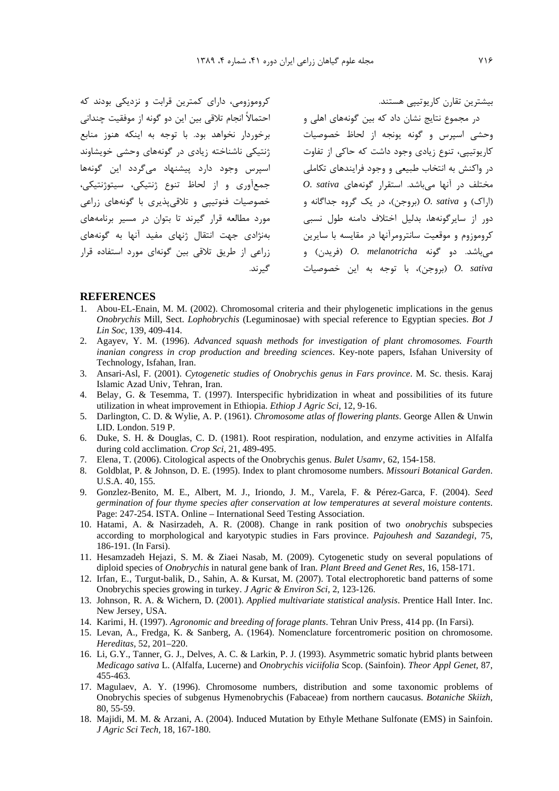کروموزومی، دارای کمترین قرابت و نزدیکی بودند که احتمالاً انجام تلاقي بين اين دو گونه از موفقيت چنداني برخوردار نخواهد بود. با توجه به اینکه هنوز منابع ژنتیکی ناشناخته زیادی در گونههای وحشی خویشاوند اسپرس وجود دارد پیشنهاد میگردد این گونهها جمعآوري و از لحاظ تنوع ژنتيکي، سيتوژنتيکي، خصوصیات فنوتییی و تلاقی پذیری با گونههای زراعی مورد مطالعه قرار گیرند تا بتوان در مسیر برنامههای بهنژادی جهت انتقال ژنهای مفید آنها به گونههای زراعی از طریق تلاقی بین گونهای مورد استفاده قرار گىرند.

بیشترین تقارن کارپوتییی هستند.

در مجموع نتایج نشان داد که بین گونههای اهلی و وحشی اسپرس و گونه یونجه از لحاظ خصوصیات کارپوتییی، تنوع زیادی وجود داشت که حاکی از تفاوت در واکنش به انتخاب طبیعی و وجود فرایندهای تکاملی  $O.$  sativa مختلف در آنها میباشد. استقرار گونههای اراک) و O. sativa (بروجن)، در یک گروه جداگانه و دور از سایرگونهها، بدلیل اختلاف دامنه طول نسبی کروموزوم و موقعیت سانترومرآنها در مقایسه با سایرین مي باشد. دو گونه O. melanotricha (فريدن) و بروجن)، با توجه به این خصوصیات) O. sativa

#### **REFERENCES**

- 1. Abou-EL-Enain, M. M. (2002). Chromosomal criteria and their phylogenetic implications in the genus Onobrychis Mill, Sect. Lophobrychis (Leguminosae) with special reference to Egyptian species. Bot J Lin Soc, 139, 409-414.
- 2. Agayev, Y. M. (1996). Advanced squash methods for investigation of plant chromosomes. Fourth inanian congress in crop production and breeding sciences. Key-note papers, Isfahan University of Technology, Isfahan, Iran.
- 3. Ansari-Asl, F. (2001). Cytogenetic studies of Onobrychis genus in Fars province. M. Sc. thesis. Karaj Islamic Azad Univ, Tehran, Iran.
- 4. Belay, G. & Tesemma, T. (1997). Interspecific hybridization in wheat and possibilities of its future utilization in wheat improvement in Ethiopia. *Ethiop J Agric Sci*, 12, 9-16.
- 5. Darlington, C. D. & Wylie, A. P. (1961). Chromosome atlas of flowering plants. George Allen & Unwin LID. London. 519 P.
- 6. Duke, S. H. & Douglas, C. D. (1981). Root respiration, nodulation, and enzyme activities in Alfalfa during cold acclimation. Crop Sci, 21, 489-495.
- 7. Elena, T. (2006). Citological aspects of the Onobrychis genus. Bulet Usamv, 62, 154-158.
- 8. Goldblat, P. & Johnson, D. E. (1995). Index to plant chromosome numbers. Missouri Botanical Garden. U.S.A. 40, 155.
- 9. Gonzlez-Benito, M. E., Albert, M. J., Iriondo, J. M., Varela, F. & Pérez-Garca, F. (2004). Seed germination of four thyme species after conservation at low temperatures at several moisture contents. Page: 247-254. ISTA. Online – International Seed Testing Association.
- 10. Hatami, A. & Nasirzadeh, A. R. (2008). Change in rank position of two *onobrychis* subspecies according to morphological and karyotypic studies in Fars province. Pajouhesh and Sazandegi, 75, 186-191. (In Farsi).
- 11. Hesamzadeh Hejazi, S. M. & Ziaei Nasab, M. (2009). Cytogenetic study on several populations of diploid species of Onobrychis in natural gene bank of Iran. Plant Breed and Genet Res, 16, 158-171.
- 12. Irfan, E., Turgut-balik, D., Sahin, A. & Kursat, M. (2007). Total electrophoretic band patterns of some Onobrychis species growing in turkey. J Agric & Environ Sci, 2, 123-126.
- 13. Johnson, R. A. & Wichern, D. (2001). Applied multivariate statistical analysis. Prentice Hall Inter. Inc. New Jersey, USA.
- 14. Karimi, H. (1997). Agronomic and breeding of forage plants. Tehran Univ Press, 414 pp. (In Farsi).
- 15. Levan, A., Fredga, K. & Sanberg, A. (1964). Nomenclature forcentromeric position on chromosome. Hereditas, 52, 201-220.
- 16. Li, G.Y., Tanner, G. J., Delves, A. C. & Larkin, P. J. (1993). Asymmetric somatic hybrid plants between Medicago sativa L. (Alfalfa, Lucerne) and Onobrychis viciifolia Scop. (Sainfoin). Theor Appl Genet, 87, 455-463.
- 17. Magulaev, A. Y. (1996). Chromosome numbers, distribution and some taxonomic problems of Onobrychis species of subgenus Hymenobrychis (Fabaceae) from northern caucasus. Botaniche Skiizh, 80, 55-59.
- 18. Majidi, M. M. & Arzani, A. (2004). Induced Mutation by Ethyle Methane Sulfonate (EMS) in Sainfoin. J Agric Sci Tech, 18, 167-180.